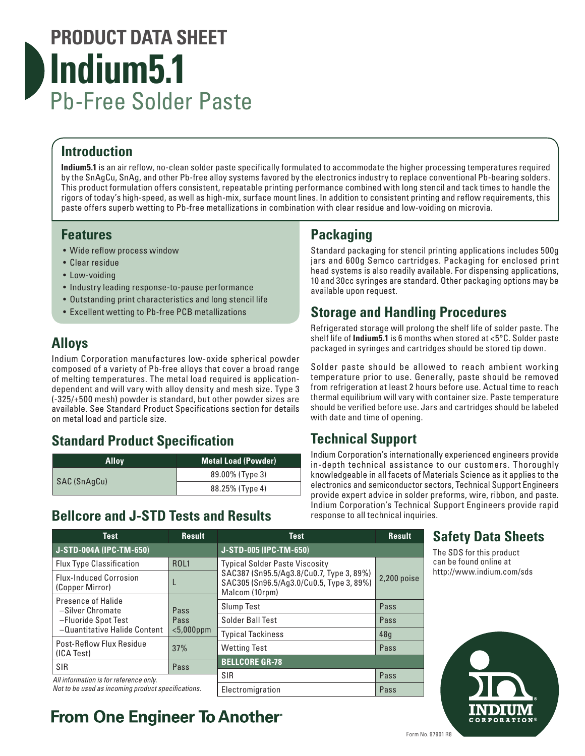# **PRODUCT DATA SHEET Indium5.1** Pb-Free Solder Paste

## **Introduction**

**Indium5.1** is an air reflow, no-clean solder paste specifically formulated to accommodate the higher processing temperatures required by the SnAgCu, SnAg, and other Pb-free alloy systems favored by the electronics industry to replace conventional Pb-bearing solders. This product formulation offers consistent, repeatable printing performance combined with long stencil and tack times to handle the rigors of today's high-speed, as well as high-mix, surface mount lines. In addition to consistent printing and reflow requirements, this paste offers superb wetting to Pb-free metallizations in combination with clear residue and low-voiding on microvia.

#### **Features**

- Wide reflow process window
- Clear residue
- Low-voiding
- Industry leading response-to-pause performance
- Outstanding print characteristics and long stencil life
- Excellent wetting to Pb-free PCB metallizations

## **Alloys**

Indium Corporation manufactures low-oxide spherical powder composed of a variety of Pb-free alloys that cover a broad range of melting temperatures. The metal load required is applicationdependent and will vary with alloy density and mesh size. Type 3 (-325/+500 mesh) powder is standard, but other powder sizes are available. See Standard Product Specifications section for details on metal load and particle size.

## **Standard Product Specification**

| <b>Allov</b> | <b>Metal Load (Powder)</b> |
|--------------|----------------------------|
| SAC (SnAgCu) | 89.00% (Type 3)            |
|              | 88.25% (Type 4)            |

#### **Bellcore and J-STD Tests and Results**

## **Packaging**

Standard packaging for stencil printing applications includes 500g jars and 600g Semco cartridges. Packaging for enclosed print head systems is also readily available. For dispensing applications, 10 and 30cc syringes are standard. Other packaging options may be available upon request.

#### **Storage and Handling Procedures**

Refrigerated storage will prolong the shelf life of solder paste. The shelf life of **Indium5.1** is 6 months when stored at <5°C. Solder paste packaged in syringes and cartridges should be stored tip down.

Solder paste should be allowed to reach ambient working temperature prior to use. Generally, paste should be removed from refrigeration at least 2 hours before use. Actual time to reach thermal equilibrium will vary with container size. Paste temperature should be verified before use. Jars and cartridges should be labeled with date and time of opening.

## **Technical Support**

Indium Corporation's internationally experienced engineers provide in-depth technical assistance to our customers. Thoroughly knowledgeable in all facets of Materials Science as it applies to the electronics and semiconductor sectors, Technical Support Engineers provide expert advice in solder preforms, wire, ribbon, and paste. Indium Corporation's Technical Support Engineers provide rapid response to all technical inquiries.

| <b>Test</b>                                                                                   | <b>Result</b>                                             | <b>Test</b>                                                                                            | <b>Result</b> |
|-----------------------------------------------------------------------------------------------|-----------------------------------------------------------|--------------------------------------------------------------------------------------------------------|---------------|
| J-STD-004A (IPC-TM-650)                                                                       |                                                           | J-STD-005 (IPC-TM-650)                                                                                 |               |
| <b>Flux Type Classification</b>                                                               | <b>Typical Solder Paste Viscosity</b><br>ROL <sub>1</sub> |                                                                                                        |               |
| <b>Flux-Induced Corrosion</b><br>(Copper Mirror)                                              | L                                                         | SAC387 (Sn95.5/Ag3.8/Cu0.7, Type 3, 89%)<br>SAC305 (Sn96.5/Ag3.0/Cu0.5, Type 3, 89%)<br>Malcom (10rpm) | 2,200 poise   |
| Presence of Halide<br>-Silver Chromate<br>-Fluoride Spot Test<br>-Quantitative Halide Content | Pass<br>Pass<br>$<$ 5,000ppm                              | <b>Slump Test</b>                                                                                      | Pass          |
|                                                                                               |                                                           | Solder Ball Test                                                                                       | Pass          |
|                                                                                               |                                                           | <b>Typical Tackiness</b>                                                                               | 48q           |
| Post-Reflow Flux Residue<br>(ICA Test)                                                        | 37%                                                       | <b>Wetting Test</b>                                                                                    | Pass          |
| <b>SIR</b>                                                                                    | Pass                                                      | <b>BELLCORE GR-78</b>                                                                                  |               |
| All information is for reference only.<br>Not to be used as incoming product specifications.  |                                                           | SIR                                                                                                    | Pass          |
|                                                                                               |                                                           | Electromigration                                                                                       | Pass          |

#### **Safety Data Sheets**

The SDS for this product can be found online at http://www.indium.com/sds



## **From One Engineer To Another**